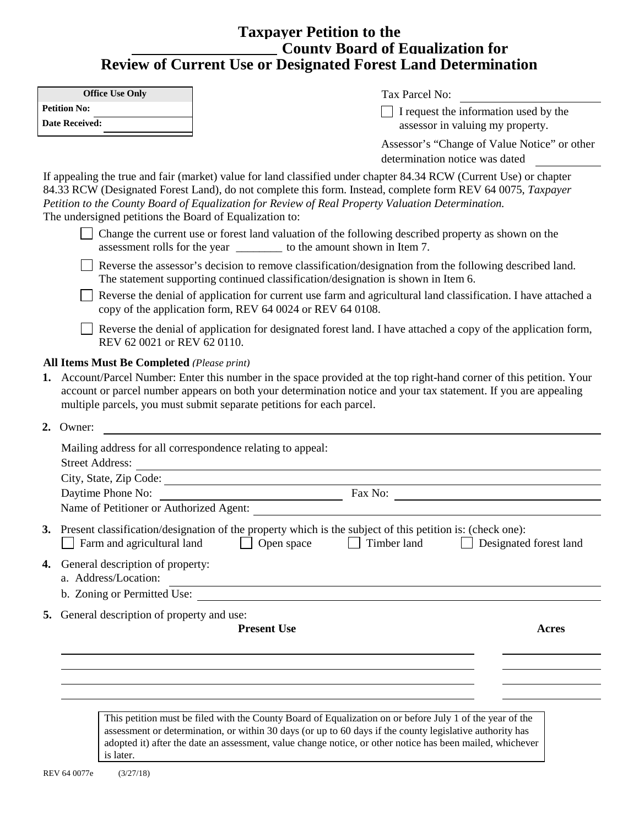## **Taxpayer Petition to the County Board of Equalization for Review of Current Use or Designated Forest Land Determination**

|                                                                | Review of Current Ose or Designated Forest Land Determination                                                                                                                                                                                                                                                                          |                        |  |  |  |
|----------------------------------------------------------------|----------------------------------------------------------------------------------------------------------------------------------------------------------------------------------------------------------------------------------------------------------------------------------------------------------------------------------------|------------------------|--|--|--|
| <b>Office Use Only</b>                                         | Tax Parcel No:                                                                                                                                                                                                                                                                                                                         |                        |  |  |  |
| <b>Petition No:</b><br><b>Date Received:</b>                   | $\Box$ I request the information used by the<br>assessor in valuing my property.                                                                                                                                                                                                                                                       |                        |  |  |  |
|                                                                | Assessor's "Change of Value Notice" or other<br>determination notice was dated                                                                                                                                                                                                                                                         |                        |  |  |  |
| The undersigned petitions the Board of Equalization to:        | If appealing the true and fair (market) value for land classified under chapter 84.34 RCW (Current Use) or chapter<br>84.33 RCW (Designated Forest Land), do not complete this form. Instead, complete form REV 64 0075, Taxpayer<br>Petition to the County Board of Equalization for Review of Real Property Valuation Determination. |                        |  |  |  |
|                                                                | Change the current use or forest land valuation of the following described property as shown on the<br>assessment rolls for the year ____________ to the amount shown in Item 7.                                                                                                                                                       |                        |  |  |  |
|                                                                | Reverse the assessor's decision to remove classification/designation from the following described land.<br>The statement supporting continued classification/designation is shown in Item 6.                                                                                                                                           |                        |  |  |  |
|                                                                | Reverse the denial of application for current use farm and agricultural land classification. I have attached a<br>copy of the application form, REV 64 0024 or REV 64 0108.                                                                                                                                                            |                        |  |  |  |
| REV 62 0021 or REV 62 0110.                                    | Reverse the denial of application for designated forest land. I have attached a copy of the application form,                                                                                                                                                                                                                          |                        |  |  |  |
|                                                                | 1. Account/Parcel Number: Enter this number in the space provided at the top right-hand corner of this petition. Your<br>account or parcel number appears on both your determination notice and your tax statement. If you are appealing<br>multiple parcels, you must submit separate petitions for each parcel.                      |                        |  |  |  |
| 2. Owner:<br><b>Street Address:</b>                            | Mailing address for all correspondence relating to appeal:<br><u> 1989 - Johann Barn, mars ann an t-Amhain Aonaichte ann an t-Aonaichte ann an t-Aonaichte ann an t-Aonaichte a</u><br>City, State, Zip Code:                                                                                                                          |                        |  |  |  |
| Daytime Phone No:                                              |                                                                                                                                                                                                                                                                                                                                        |                        |  |  |  |
|                                                                |                                                                                                                                                                                                                                                                                                                                        |                        |  |  |  |
| Farm and agricultural land                                     | 3. Present classification/designation of the property which is the subject of this petition is: (check one):<br>Timber land<br>Open space                                                                                                                                                                                              | Designated forest land |  |  |  |
| General description of property:<br>4.<br>a. Address/Location: |                                                                                                                                                                                                                                                                                                                                        |                        |  |  |  |
|                                                                | b. Zoning or Permitted Use:                                                                                                                                                                                                                                                                                                            |                        |  |  |  |
| 5. General description of property and use:                    |                                                                                                                                                                                                                                                                                                                                        |                        |  |  |  |
|                                                                | <b>Present Use</b>                                                                                                                                                                                                                                                                                                                     | <b>Acres</b>           |  |  |  |
|                                                                |                                                                                                                                                                                                                                                                                                                                        |                        |  |  |  |
|                                                                |                                                                                                                                                                                                                                                                                                                                        |                        |  |  |  |
|                                                                |                                                                                                                                                                                                                                                                                                                                        |                        |  |  |  |

This petition must be filed with the County Board of Equalization on or before July 1 of the year of the assessment or determination, or within 30 days (or up to 60 days if the county legislative authority has adopted it) after the date an assessment, value change notice, or other notice has been mailed, whichever is later.